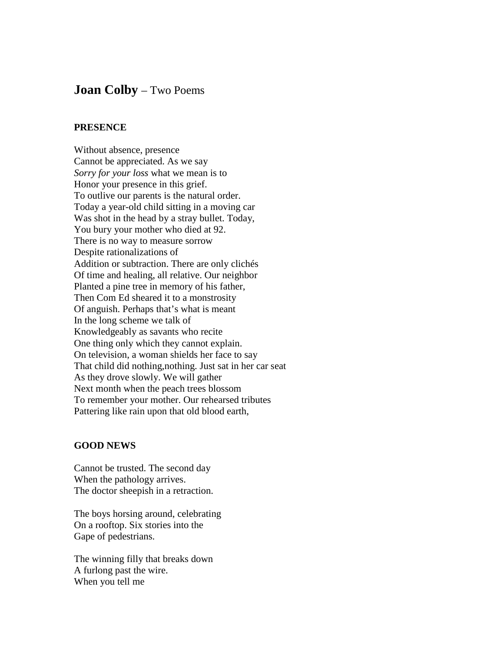## **Joan Colby** – Two Poems

## **PRESENCE**

Without absence, presence Cannot be appreciated. As we say *Sorry for your loss* what we mean is to Honor your presence in this grief. To outlive our parents is the natural order. Today a year-old child sitting in a moving car Was shot in the head by a stray bullet. Today, You bury your mother who died at 92. There is no way to measure sorrow Despite rationalizations of Addition or subtraction. There are only clichés Of time and healing, all relative. Our neighbor Planted a pine tree in memory of his father, Then Com Ed sheared it to a monstrosity Of anguish. Perhaps that's what is meant In the long scheme we talk of Knowledgeably as savants who recite One thing only which they cannot explain. On television, a woman shields her face to say That child did nothing,nothing. Just sat in her car seat As they drove slowly. We will gather Next month when the peach trees blossom To remember your mother. Our rehearsed tributes Pattering like rain upon that old blood earth,

## **GOOD NEWS**

Cannot be trusted. The second day When the pathology arrives. The doctor sheepish in a retraction.

The boys horsing around, celebrating On a rooftop. Six stories into the Gape of pedestrians.

The winning filly that breaks down A furlong past the wire. When you tell me